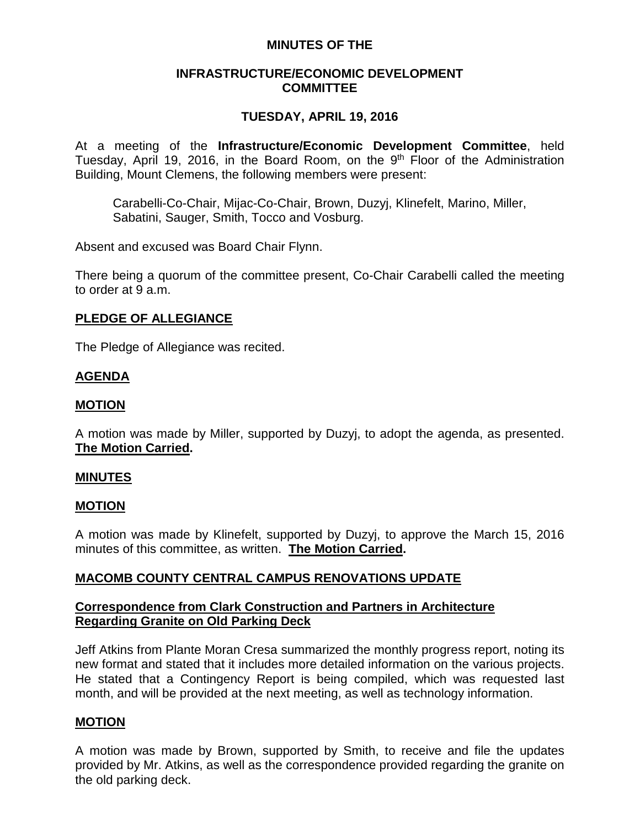### **MINUTES OF THE**

### **INFRASTRUCTURE/ECONOMIC DEVELOPMENT COMMITTEE**

# **TUESDAY, APRIL 19, 2016**

At a meeting of the **Infrastructure/Economic Development Committee**, held Tuesday, April 19, 2016, in the Board Room, on the 9<sup>th</sup> Floor of the Administration Building, Mount Clemens, the following members were present:

Carabelli-Co-Chair, Mijac-Co-Chair, Brown, Duzyj, Klinefelt, Marino, Miller, Sabatini, Sauger, Smith, Tocco and Vosburg.

Absent and excused was Board Chair Flynn.

There being a quorum of the committee present, Co-Chair Carabelli called the meeting to order at 9 a.m.

# **PLEDGE OF ALLEGIANCE**

The Pledge of Allegiance was recited.

# **AGENDA**

### **MOTION**

A motion was made by Miller, supported by Duzyj, to adopt the agenda, as presented. **The Motion Carried.**

### **MINUTES**

### **MOTION**

A motion was made by Klinefelt, supported by Duzyj, to approve the March 15, 2016 minutes of this committee, as written. **The Motion Carried.**

# **MACOMB COUNTY CENTRAL CAMPUS RENOVATIONS UPDATE**

### **Correspondence from Clark Construction and Partners in Architecture Regarding Granite on Old Parking Deck**

Jeff Atkins from Plante Moran Cresa summarized the monthly progress report, noting its new format and stated that it includes more detailed information on the various projects. He stated that a Contingency Report is being compiled, which was requested last month, and will be provided at the next meeting, as well as technology information.

### **MOTION**

A motion was made by Brown, supported by Smith, to receive and file the updates provided by Mr. Atkins, as well as the correspondence provided regarding the granite on the old parking deck.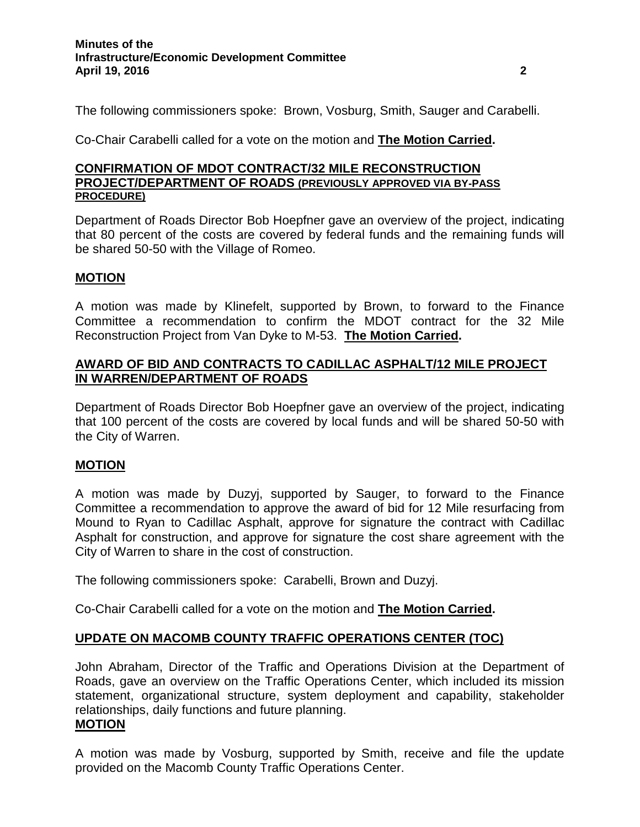The following commissioners spoke: Brown, Vosburg, Smith, Sauger and Carabelli.

Co-Chair Carabelli called for a vote on the motion and **The Motion Carried.**

### **CONFIRMATION OF MDOT CONTRACT/32 MILE RECONSTRUCTION PROJECT/DEPARTMENT OF ROADS (PREVIOUSLY APPROVED VIA BY-PASS PROCEDURE)**

Department of Roads Director Bob Hoepfner gave an overview of the project, indicating that 80 percent of the costs are covered by federal funds and the remaining funds will be shared 50-50 with the Village of Romeo.

### **MOTION**

A motion was made by Klinefelt, supported by Brown, to forward to the Finance Committee a recommendation to confirm the MDOT contract for the 32 Mile Reconstruction Project from Van Dyke to M-53. **The Motion Carried.**

## **AWARD OF BID AND CONTRACTS TO CADILLAC ASPHALT/12 MILE PROJECT IN WARREN/DEPARTMENT OF ROADS**

Department of Roads Director Bob Hoepfner gave an overview of the project, indicating that 100 percent of the costs are covered by local funds and will be shared 50-50 with the City of Warren.

# **MOTION**

A motion was made by Duzyj, supported by Sauger, to forward to the Finance Committee a recommendation to approve the award of bid for 12 Mile resurfacing from Mound to Ryan to Cadillac Asphalt, approve for signature the contract with Cadillac Asphalt for construction, and approve for signature the cost share agreement with the City of Warren to share in the cost of construction.

The following commissioners spoke: Carabelli, Brown and Duzyj.

Co-Chair Carabelli called for a vote on the motion and **The Motion Carried.**

# **UPDATE ON MACOMB COUNTY TRAFFIC OPERATIONS CENTER (TOC)**

John Abraham, Director of the Traffic and Operations Division at the Department of Roads, gave an overview on the Traffic Operations Center, which included its mission statement, organizational structure, system deployment and capability, stakeholder relationships, daily functions and future planning. **MOTION**

A motion was made by Vosburg, supported by Smith, receive and file the update provided on the Macomb County Traffic Operations Center.